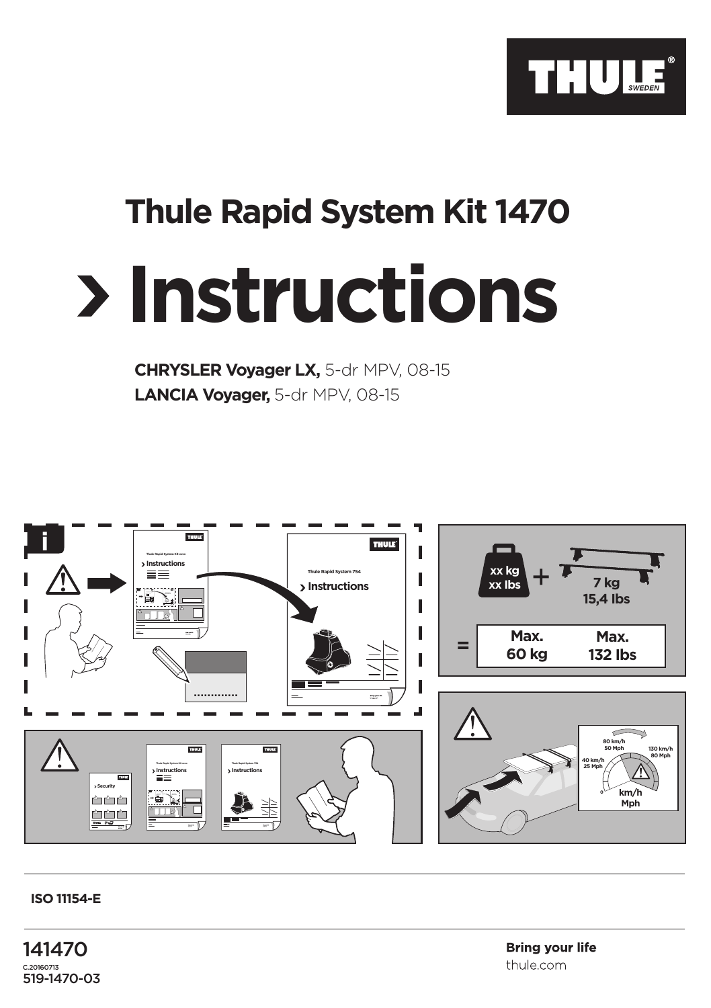

## **Thule Rapid System Kit 1470**

## **Instructions**

**CHRYSLER Voyager LX,** 5-dr MPV, 08-15 **LANCIA Voyager,** 5-dr MPV, 08-15



## **ISO 11154-E**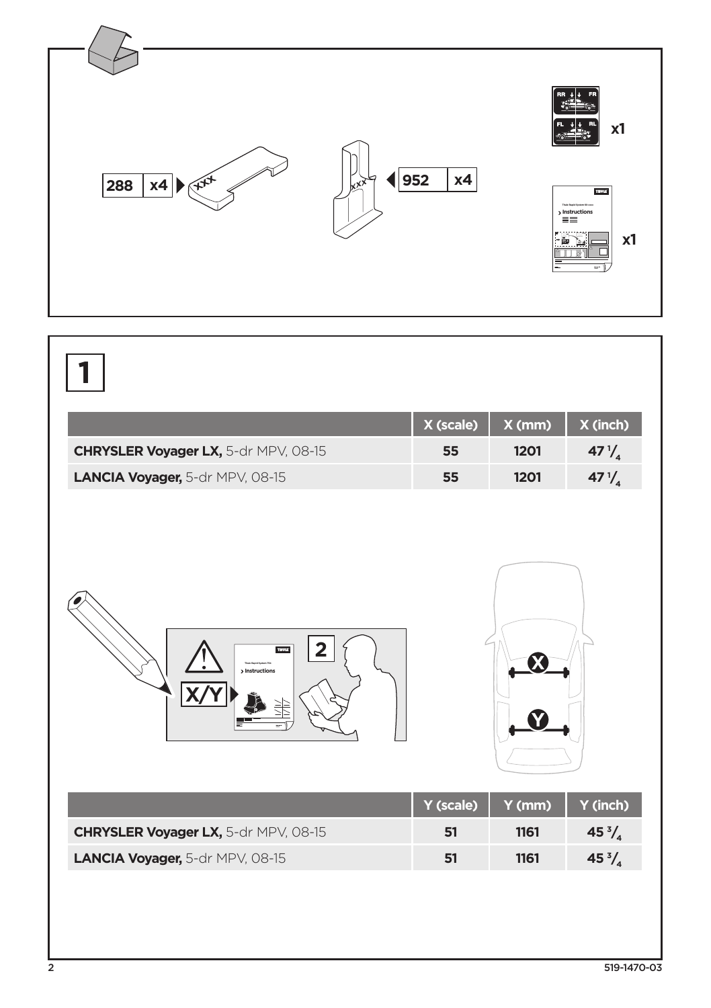

|                                      | X (scale) | X(mm)  | X (inch)         |
|--------------------------------------|-----------|--------|------------------|
| CHRYSLER Voyager LX, 5-dr MPV, 08-15 | 55        | 1201   | 47 $\frac{1}{4}$ |
| LANCIA Voyager, 5-dr MPV, 08-15      | 55        | 1201   | 47 $\frac{1}{4}$ |
| 2<br><b>THULE</b><br>> Instructions  | Y (scale) | Y (mm) | Y (inch)         |
| CHRYSLER Voyager LX, 5-dr MPV, 08-15 | 51        | 1161   | 45 $\frac{3}{4}$ |
| LANCIA Voyager, 5-dr MPV, 08-15      | 51        | 1161   | 45 $\frac{3}{4}$ |
|                                      |           |        |                  |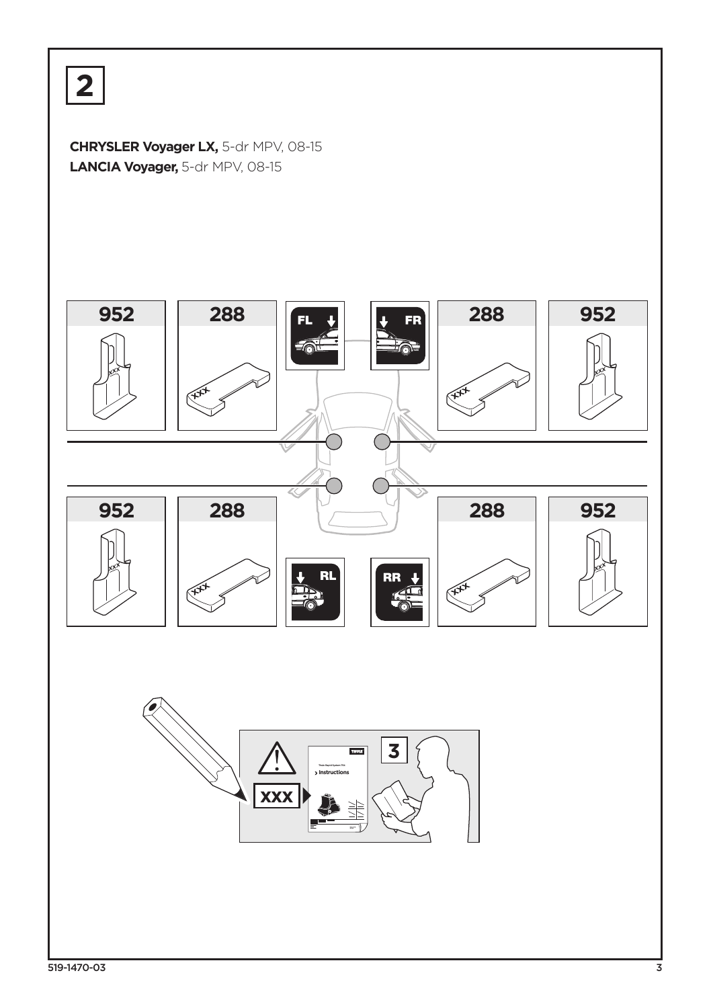